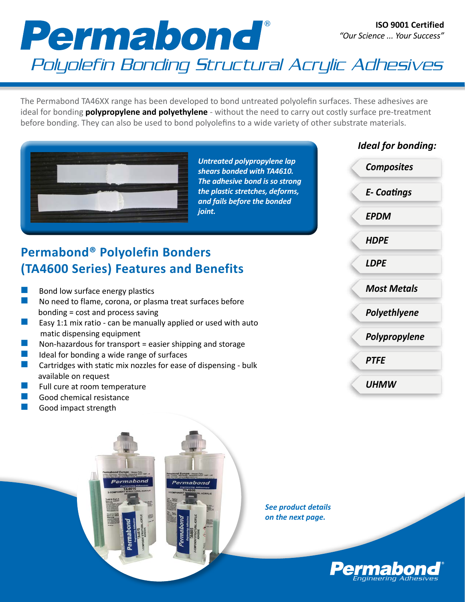## Permabond

## Polyolefin Bonding Structural Acrylic Adhesives

The Permabond TA46XX range has been developed to bond untreated polyolefin surfaces. These adhesives are ideal for bonding **polypropylene and polyethylene** - without the need to carry out costly surface pre-treatment before bonding. They can also be used to bond polyolefins to a wide variety of other substrate materials.



*Untreated polypropylene lap shears bonded with TA4610. The adhesive bond is so strong the plastic stretches, deforms, and fails before the bonded joint.*

## **Permabond® Polyolefin Bonders (TA4600 Series) Features and Benefits**

- Bond low surface energy plastics
- No need to flame, corona, or plasma treat surfaces before bonding = cost and process saving
- **E** Easy 1:1 mix ratio can be manually applied or used with auto matic dispensing equipment
- Non-hazardous for transport = easier shipping and storage
- **n** Ideal for bonding a wide range of surfaces<br>**n** Cartridges with static mix pozzles for ease
- Cartridges with static mix nozzles for ease of dispensing bulk available on request

Permabono

- Full cure at room temperature
- Good chemical resistance
- Good impact strength

*Ideal for bonding:*

*E- Coatings*

*Composites*

*EPDM*

*HDPE*

*LDPE*

*Most Metals*

*Polyethlyene*

*Polypropylene*

*PTFE*

*UHMW*

*See product details on the next page.*